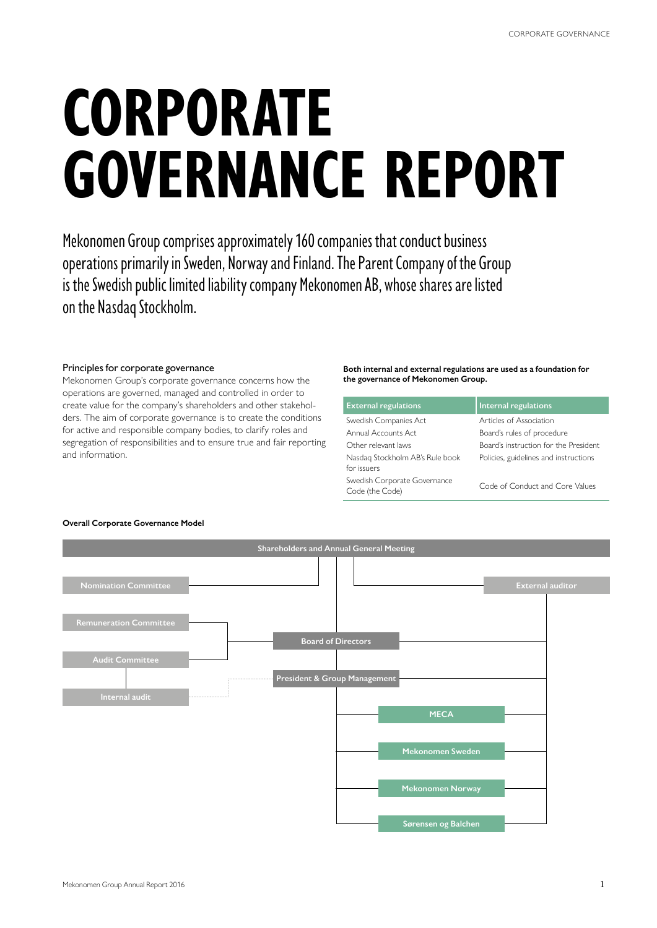# **CORPORATE GOVERNANCE REPORT**

Mekonomen Group comprises approximately 160 companies that conduct business operations primarily in Sweden, Norway and Finland. The Parent Company of the Group is the Swedish public limited liability company Mekonomen AB, whose shares are listed on the Nasdaq Stockholm.

### Principles for corporate governance

Mekonomen Group's corporate governance concerns how the operations are governed, managed and controlled in order to create value for the company's shareholders and other stakeholders. The aim of corporate governance is to create the conditions for active and responsible company bodies, to clarify roles and segregation of responsibilities and to ensure true and fair reporting and information.

### **Both internal and external regulations are used as a foundation for the governance of Mekonomen Group.**

| <b>External regulations</b>                     | Internal regulations                  |
|-------------------------------------------------|---------------------------------------|
| Swedish Companies Act                           | Articles of Association               |
| Annual Accounts Act                             | Board's rules of procedure            |
| Other relevant laws                             | Board's instruction for the President |
| Nasdag Stockholm AB's Rule book<br>for issuers  | Policies, guidelines and instructions |
| Swedish Corporate Governance<br>Code (the Code) | Code of Conduct and Core Values       |



### **Overall Corporate Governance Model**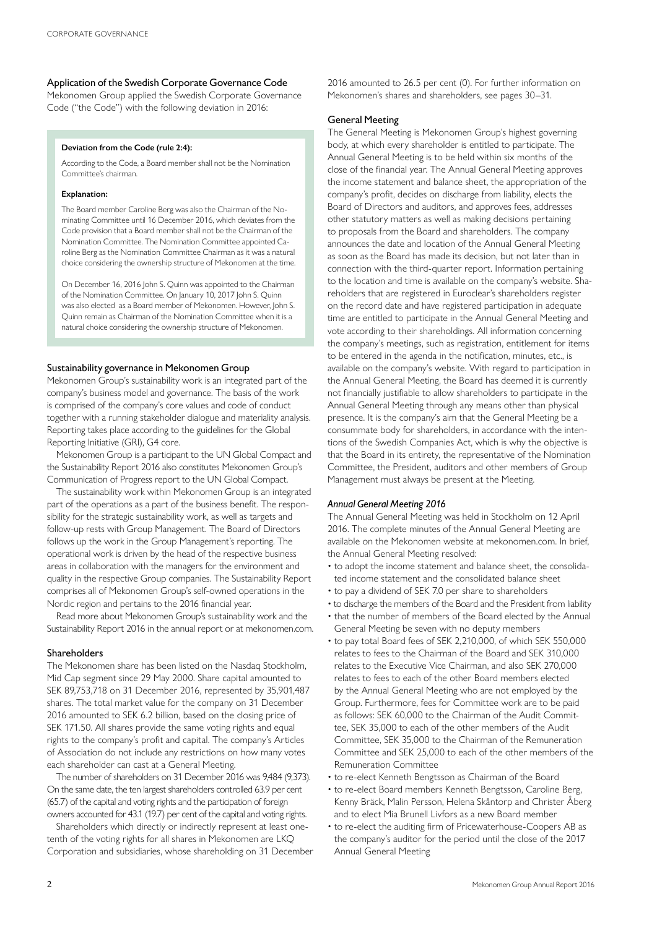### Application of the Swedish Corporate Governance Code

Mekonomen Group applied the Swedish Corporate Governance Code ("the Code") with the following deviation in 2016:

### **Deviation from the Code (rule 2:4):**

According to the Code, a Board member shall not be the Nomination Committee's chairman.

### **Explanation:**

The Board member Caroline Berg was also the Chairman of the Nominating Committee until 16 December 2016, which deviates from the Code provision that a Board member shall not be the Chairman of the Nomination Committee. The Nomination Committee appointed Caroline Berg as the Nomination Committee Chairman as it was a natural choice considering the ownership structure of Mekonomen at the time.

On December 16, 2016 John S. Quinn was appointed to the Chairman of the Nomination Committee. On January 10, 2017 John S. Quinn was also elected as a Board member of Mekonomen. However, John S. Quinn remain as Chairman of the Nomination Committee when it is a natural choice considering the ownership structure of Mekonomen.

### Sustainability governance in Mekonomen Group

Mekonomen Group's sustainability work is an integrated part of the company's business model and governance. The basis of the work is comprised of the company's core values and code of conduct together with a running stakeholder dialogue and materiality analysis. Reporting takes place according to the guidelines for the Global Reporting Initiative (GRI), G4 core.

Mekonomen Group is a participant to the UN Global Compact and the Sustainability Report 2016 also constitutes Mekonomen Group's Communication of Progress report to the UN Global Compact.

The sustainability work within Mekonomen Group is an integrated part of the operations as a part of the business benefit. The responsibility for the strategic sustainability work, as well as targets and follow-up rests with Group Management. The Board of Directors follows up the work in the Group Management's reporting. The operational work is driven by the head of the respective business areas in collaboration with the managers for the environment and quality in the respective Group companies. The Sustainability Report comprises all of Mekonomen Group's self-owned operations in the Nordic region and pertains to the 2016 financial year.

Read more about Mekonomen Group's sustainability work and the Sustainability Report 2016 in the annual report or at mekonomen.com.

### Shareholders

The Mekonomen share has been listed on the Nasdaq Stockholm, Mid Cap segment since 29 May 2000. Share capital amounted to SEK 89,753,718 on 31 December 2016, represented by 35,901,487 shares. The total market value for the company on 31 December 2016 amounted to SEK 6.2 billion, based on the closing price of SEK 171.50. All shares provide the same voting rights and equal rights to the company's profit and capital. The company's Articles of Association do not include any restrictions on how many votes each shareholder can cast at a General Meeting.

The number of shareholders on 31 December 2016 was 9,484 (9,373). On the same date, the ten largest shareholders controlled 63.9 per cent (65.7) of the capital and voting rights and the participation of foreign owners accounted for 43.1 (19.7) per cent of the capital and voting rights.

Shareholders which directly or indirectly represent at least onetenth of the voting rights for all shares in Mekonomen are LKQ Corporation and subsidiaries, whose shareholding on 31 December

2016 amounted to 26.5 per cent (0). For further information on Mekonomen's shares and shareholders, see pages 30–31.

### General Meeting

The General Meeting is Mekonomen Group's highest governing body, at which every shareholder is entitled to participate. The Annual General Meeting is to be held within six months of the close of the financial year. The Annual General Meeting approves the income statement and balance sheet, the appropriation of the company's profit, decides on discharge from liability, elects the Board of Directors and auditors, and approves fees, addresses other statutory matters as well as making decisions pertaining to proposals from the Board and shareholders. The company announces the date and location of the Annual General Meeting as soon as the Board has made its decision, but not later than in connection with the third-quarter report. Information pertaining to the location and time is available on the company's website. Shareholders that are registered in Euroclear's shareholders register on the record date and have registered participation in adequate time are entitled to participate in the Annual General Meeting and vote according to their shareholdings. All information concerning the company's meetings, such as registration, entitlement for items to be entered in the agenda in the notification, minutes, etc., is available on the company's website. With regard to participation in the Annual General Meeting, the Board has deemed it is currently not financially justifiable to allow shareholders to participate in the Annual General Meeting through any means other than physical presence. It is the company's aim that the General Meeting be a consummate body for shareholders, in accordance with the intentions of the Swedish Companies Act, which is why the objective is that the Board in its entirety, the representative of the Nomination Committee, the President, auditors and other members of Group Management must always be present at the Meeting.

### *Annual General Meeting 2016*

The Annual General Meeting was held in Stockholm on 12 April 2016. The complete minutes of the Annual General Meeting are available on the Mekonomen website at mekonomen.com. In brief, the Annual General Meeting resolved:

- to adopt the income statement and balance sheet, the consolidated income statement and the consolidated balance sheet
- to pay a dividend of SEK 7.0 per share to shareholders
- to discharge the members of the Board and the President from liability
- that the number of members of the Board elected by the Annual General Meeting be seven with no deputy members
- to pay total Board fees of SEK 2,210,000, of which SEK 550,000 relates to fees to the Chairman of the Board and SEK 310,000 relates to the Executive Vice Chairman, and also SEK 270,000 relates to fees to each of the other Board members elected by the Annual General Meeting who are not employed by the Group. Furthermore, fees for Committee work are to be paid as follows: SEK 60,000 to the Chairman of the Audit Committee, SEK 35,000 to each of the other members of the Audit Committee, SEK 35,000 to the Chairman of the Remuneration Committee and SEK 25,000 to each of the other members of the Remuneration Committee
- to re-elect Kenneth Bengtsson as Chairman of the Board
- to re-elect Board members Kenneth Bengtsson, Caroline Berg, Kenny Bräck, Malin Persson, Helena Skåntorp and Christer Åberg and to elect Mia Brunell Livfors as a new Board member
- to re-elect the auditing firm of Pricewaterhouse-Coopers AB as the company's auditor for the period until the close of the 2017 Annual General Meeting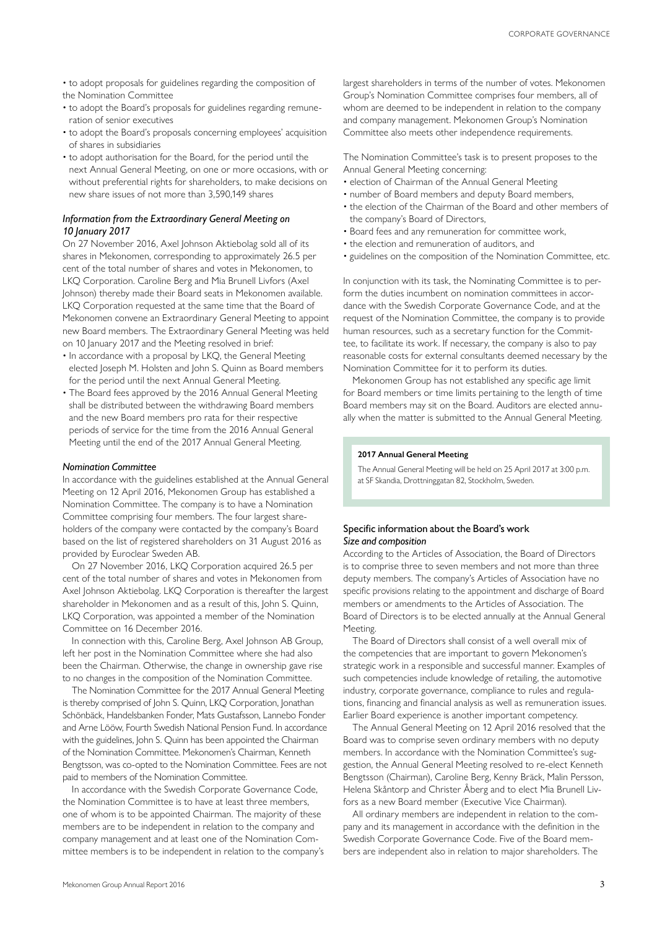• to adopt proposals for guidelines regarding the composition of the Nomination Committee

- to adopt the Board's proposals for guidelines regarding remuneration of senior executives
- to adopt the Board's proposals concerning employees' acquisition of shares in subsidiaries
- to adopt authorisation for the Board, for the period until the next Annual General Meeting, on one or more occasions, with or without preferential rights for shareholders, to make decisions on new share issues of not more than 3,590,149 shares

### *Information from the Extraordinary General Meeting on 10 January 2017*

On 27 November 2016, Axel Johnson Aktiebolag sold all of its shares in Mekonomen, corresponding to approximately 26.5 per cent of the total number of shares and votes in Mekonomen, to LKQ Corporation. Caroline Berg and Mia Brunell Livfors (Axel Johnson) thereby made their Board seats in Mekonomen available. LKQ Corporation requested at the same time that the Board of Mekonomen convene an Extraordinary General Meeting to appoint new Board members. The Extraordinary General Meeting was held on 10 January 2017 and the Meeting resolved in brief:

- In accordance with a proposal by LKQ, the General Meeting elected Joseph M. Holsten and John S. Quinn as Board members for the period until the next Annual General Meeting.
- The Board fees approved by the 2016 Annual General Meeting shall be distributed between the withdrawing Board members and the new Board members pro rata for their respective periods of service for the time from the 2016 Annual General Meeting until the end of the 2017 Annual General Meeting.

### *Nomination Committee*

In accordance with the guidelines established at the Annual General Meeting on 12 April 2016, Mekonomen Group has established a Nomination Committee. The company is to have a Nomination Committee comprising four members. The four largest shareholders of the company were contacted by the company's Board based on the list of registered shareholders on 31 August 2016 as provided by Euroclear Sweden AB.

On 27 November 2016, LKQ Corporation acquired 26.5 per cent of the total number of shares and votes in Mekonomen from Axel Johnson Aktiebolag. LKO Corporation is thereafter the largest shareholder in Mekonomen and as a result of this, John S. Quinn, LKQ Corporation, was appointed a member of the Nomination Committee on 16 December 2016.

In connection with this, Caroline Berg, Axel Johnson AB Group, left her post in the Nomination Committee where she had also been the Chairman. Otherwise, the change in ownership gave rise to no changes in the composition of the Nomination Committee.

The Nomination Committee for the 2017 Annual General Meeting is thereby comprised of John S. Quinn, LKQ Corporation, Jonathan Schönbäck, Handelsbanken Fonder, Mats Gustafsson, Lannebo Fonder and Arne Lööw, Fourth Swedish National Pension Fund. In accordance with the guidelines, John S. Quinn has been appointed the Chairman of the Nomination Committee. Mekonomen's Chairman, Kenneth Bengtsson, was co-opted to the Nomination Committee. Fees are not paid to members of the Nomination Committee.

In accordance with the Swedish Corporate Governance Code, the Nomination Committee is to have at least three members, one of whom is to be appointed Chairman. The majority of these members are to be independent in relation to the company and company management and at least one of the Nomination Committee members is to be independent in relation to the company's The Nomination Committee's task is to present proposes to the Annual General Meeting concerning:

- election of Chairman of the Annual General Meeting
- number of Board members and deputy Board members,
- the election of the Chairman of the Board and other members of the company's Board of Directors,
- Board fees and any remuneration for committee work,
- the election and remuneration of auditors, and
- guidelines on the composition of the Nomination Committee, etc.

In conjunction with its task, the Nominating Committee is to perform the duties incumbent on nomination committees in accordance with the Swedish Corporate Governance Code, and at the request of the Nomination Committee, the company is to provide human resources, such as a secretary function for the Committee, to facilitate its work. If necessary, the company is also to pay reasonable costs for external consultants deemed necessary by the Nomination Committee for it to perform its duties.

Mekonomen Group has not established any specific age limit for Board members or time limits pertaining to the length of time Board members may sit on the Board. Auditors are elected annually when the matter is submitted to the Annual General Meeting.

### **2017 Annual General Meeting**

The Annual General Meeting will be held on 25 April 2017 at 3:00 p.m. at SF Skandia, Drottninggatan 82, Stockholm, Sweden.

### Specific information about the Board's work *Size and composition*

According to the Articles of Association, the Board of Directors is to comprise three to seven members and not more than three deputy members. The company's Articles of Association have no specific provisions relating to the appointment and discharge of Board members or amendments to the Articles of Association. The Board of Directors is to be elected annually at the Annual General Meeting.

The Board of Directors shall consist of a well overall mix of the competencies that are important to govern Mekonomen's strategic work in a responsible and successful manner. Examples of such competencies include knowledge of retailing, the automotive industry, corporate governance, compliance to rules and regulations, financing and financial analysis as well as remuneration issues. Earlier Board experience is another important competency.

The Annual General Meeting on 12 April 2016 resolved that the Board was to comprise seven ordinary members with no deputy members. In accordance with the Nomination Committee's suggestion, the Annual General Meeting resolved to re-elect Kenneth Bengtsson (Chairman), Caroline Berg, Kenny Bräck, Malin Persson, Helena Skåntorp and Christer Åberg and to elect Mia Brunell Livfors as a new Board member (Executive Vice Chairman).

All ordinary members are independent in relation to the company and its management in accordance with the definition in the Swedish Corporate Governance Code. Five of the Board members are independent also in relation to major shareholders. The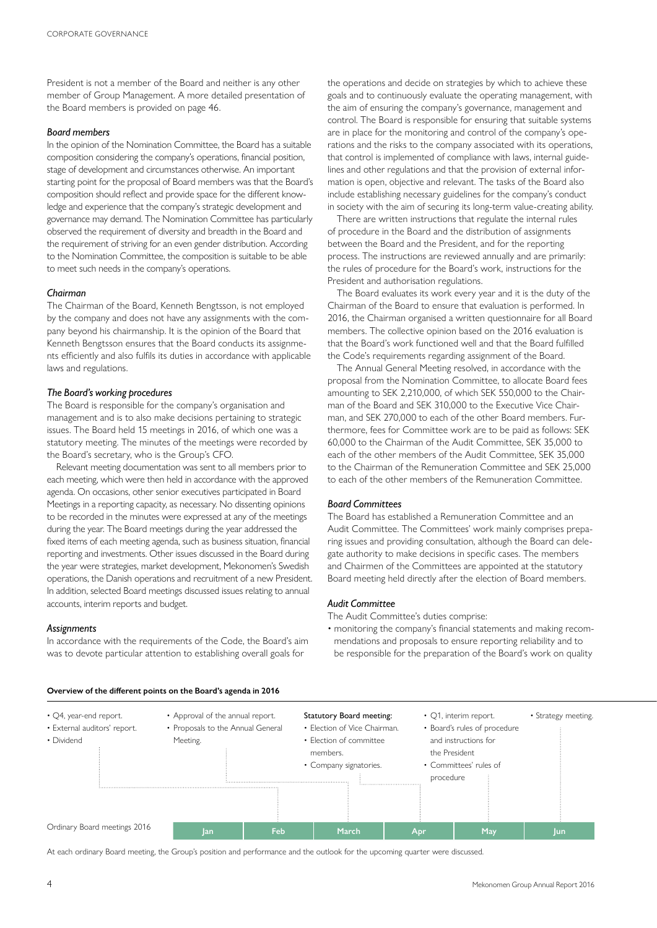President is not a member of the Board and neither is any other member of Group Management. A more detailed presentation of the Board members is provided on page 46.

### *Board members*

In the opinion of the Nomination Committee, the Board has a suitable composition considering the company's operations, financial position, stage of development and circumstances otherwise. An important starting point for the proposal of Board members was that the Board's composition should reflect and provide space for the different knowledge and experience that the company's strategic development and governance may demand. The Nomination Committee has particularly observed the requirement of diversity and breadth in the Board and the requirement of striving for an even gender distribution. According to the Nomination Committee, the composition is suitable to be able to meet such needs in the company's operations.

### *Chairman*

The Chairman of the Board, Kenneth Bengtsson, is not employed by the company and does not have any assignments with the company beyond his chairmanship. It is the opinion of the Board that Kenneth Bengtsson ensures that the Board conducts its assignments efficiently and also fulfils its duties in accordance with applicable laws and regulations.

### *The Board's working procedures*

The Board is responsible for the company's organisation and management and is to also make decisions pertaining to strategic issues. The Board held 15 meetings in 2016, of which one was a statutory meeting. The minutes of the meetings were recorded by the Board's secretary, who is the Group's CFO.

Relevant meeting documentation was sent to all members prior to each meeting, which were then held in accordance with the approved agenda. On occasions, other senior executives participated in Board Meetings in a reporting capacity, as necessary. No dissenting opinions to be recorded in the minutes were expressed at any of the meetings during the year. The Board meetings during the year addressed the fixed items of each meeting agenda, such as business situation, financial reporting and investments. Other issues discussed in the Board during the year were strategies, market development, Mekonomen's Swedish operations, the Danish operations and recruitment of a new President. In addition, selected Board meetings discussed issues relating to annual accounts, interim reports and budget.

### *Assignments*

In accordance with the requirements of the Code, the Board's aim was to devote particular attention to establishing overall goals for

the operations and decide on strategies by which to achieve these goals and to continuously evaluate the operating management, with the aim of ensuring the company's governance, management and control. The Board is responsible for ensuring that suitable systems are in place for the monitoring and control of the company's operations and the risks to the company associated with its operations, that control is implemented of compliance with laws, internal guidelines and other regulations and that the provision of external information is open, objective and relevant. The tasks of the Board also include establishing necessary guidelines for the company's conduct in society with the aim of securing its long-term value-creating ability.

There are written instructions that regulate the internal rules of procedure in the Board and the distribution of assignments between the Board and the President, and for the reporting process. The instructions are reviewed annually and are primarily: the rules of procedure for the Board's work, instructions for the President and authorisation regulations.

The Board evaluates its work every year and it is the duty of the Chairman of the Board to ensure that evaluation is performed. In 2016, the Chairman organised a written questionnaire for all Board members. The collective opinion based on the 2016 evaluation is that the Board's work functioned well and that the Board fulfilled the Code's requirements regarding assignment of the Board.

The Annual General Meeting resolved, in accordance with the proposal from the Nomination Committee, to allocate Board fees amounting to SEK 2,210,000, of which SEK 550,000 to the Chairman of the Board and SEK 310,000 to the Executive Vice Chairman, and SEK 270,000 to each of the other Board members. Furthermore, fees for Committee work are to be paid as follows: SEK 60,000 to the Chairman of the Audit Committee, SEK 35,000 to each of the other members of the Audit Committee, SEK 35,000 to the Chairman of the Remuneration Committee and SEK 25,000 to each of the other members of the Remuneration Committee.

### *Board Committees*

The Board has established a Remuneration Committee and an Audit Committee. The Committees' work mainly comprises preparing issues and providing consultation, although the Board can delegate authority to make decisions in specific cases. The members and Chairmen of the Committees are appointed at the statutory Board meeting held directly after the election of Board members.

### *Audit Committee*

The Audit Committee's duties comprise:

• monitoring the company's financial statements and making recommendations and proposals to ensure reporting reliability and to be responsible for the preparation of the Board's work on quality

• Q4, year-end report.

- External auditors' report. • Dividend
- Approval of the annual report. • Proposals to the Annual General Meeting. members.



**Jan Feb March Apr May Jun**

Ordinary Board meetings 2016

At each ordinary Board meeting, the Group's position and performance and the outlook for the upcoming quarter were discussed.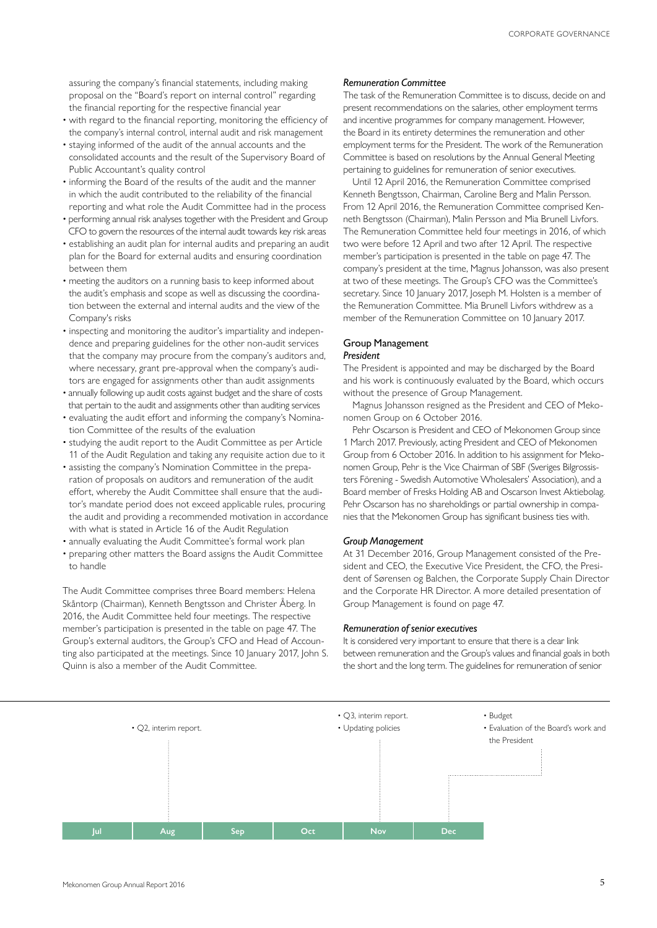assuring the company's financial statements, including making proposal on the "Board's report on internal control" regarding the financial reporting for the respective financial year

- with regard to the financial reporting, monitoring the efficiency of the company's internal control, internal audit and risk management
- staying informed of the audit of the annual accounts and the consolidated accounts and the result of the Supervisory Board of Public Accountant's quality control
- informing the Board of the results of the audit and the manner in which the audit contributed to the reliability of the financial reporting and what role the Audit Committee had in the process
- performing annual risk analyses together with the President and Group CFO to govern the resources of the internal audit towards key risk areas
- establishing an audit plan for internal audits and preparing an audit plan for the Board for external audits and ensuring coordination between them
- meeting the auditors on a running basis to keep informed about the audit's emphasis and scope as well as discussing the coordination between the external and internal audits and the view of the Company's risks
- inspecting and monitoring the auditor's impartiality and independence and preparing guidelines for the other non-audit services that the company may procure from the company's auditors and, where necessary, grant pre-approval when the company's auditors are engaged for assignments other than audit assignments
- annually following up audit costs against budget and the share of costs that pertain to the audit and assignments other than auditing services
- evaluating the audit effort and informing the company's Nomination Committee of the results of the evaluation
- studying the audit report to the Audit Committee as per Article 11 of the Audit Regulation and taking any requisite action due to it
- assisting the company's Nomination Committee in the preparation of proposals on auditors and remuneration of the audit effort, whereby the Audit Committee shall ensure that the auditor's mandate period does not exceed applicable rules, procuring the audit and providing a recommended motivation in accordance with what is stated in Article 16 of the Audit Regulation
- annually evaluating the Audit Committee's formal work plan
- preparing other matters the Board assigns the Audit Committee to handle

The Audit Committee comprises three Board members: Helena Skåntorp (Chairman), Kenneth Bengtsson and Christer Åberg. In 2016, the Audit Committee held four meetings. The respective member's participation is presented in the table on page 47. The Group's external auditors, the Group's CFO and Head of Accounting also participated at the meetings. Since 10 January 2017, John S. Quinn is also a member of the Audit Committee.

### *Remuneration Committee*

The task of the Remuneration Committee is to discuss, decide on and present recommendations on the salaries, other employment terms and incentive programmes for company management. However, the Board in its entirety determines the remuneration and other employment terms for the President. The work of the Remuneration Committee is based on resolutions by the Annual General Meeting pertaining to guidelines for remuneration of senior executives.

Until 12 April 2016, the Remuneration Committee comprised Kenneth Bengtsson, Chairman, Caroline Berg and Malin Persson. From 12 April 2016, the Remuneration Committee comprised Kenneth Bengtsson (Chairman), Malin Persson and Mia Brunell Livfors. The Remuneration Committee held four meetings in 2016, of which two were before 12 April and two after 12 April. The respective member's participation is presented in the table on page 47. The company's president at the time, Magnus Johansson, was also present at two of these meetings. The Group's CFO was the Committee's secretary. Since 10 January 2017, Joseph M. Holsten is a member of the Remuneration Committee. Mia Brunell Livfors withdrew as a member of the Remuneration Committee on 10 January 2017.

### Group Management *President*

The President is appointed and may be discharged by the Board and his work is continuously evaluated by the Board, which occurs without the presence of Group Management.

Magnus Johansson resigned as the President and CEO of Mekonomen Group on 6 October 2016.

Pehr Oscarson is President and CEO of Mekonomen Group since 1 March 2017. Previously, acting President and CEO of Mekonomen Group from 6 October 2016. In addition to his assignment for Mekonomen Group, Pehr is the Vice Chairman of SBF (Sveriges Bilgrossisters Förening - Swedish Automotive Wholesalers' Association), and a Board member of Fresks Holding AB and Oscarson Invest Aktiebolag. Pehr Oscarson has no shareholdings or partial ownership in companies that the Mekonomen Group has significant business ties with.

### *Group Management*

At 31 December 2016, Group Management consisted of the President and CEO, the Executive Vice President, the CFO, the President of Sørensen og Balchen, the Corporate Supply Chain Director and the Corporate HR Director. A more detailed presentation of Group Management is found on page 47.

### *Remuneration of senior executives*

It is considered very important to ensure that there is a clear link between remuneration and the Group's values and financial goals in both the short and the long term. The guidelines for remuneration of senior

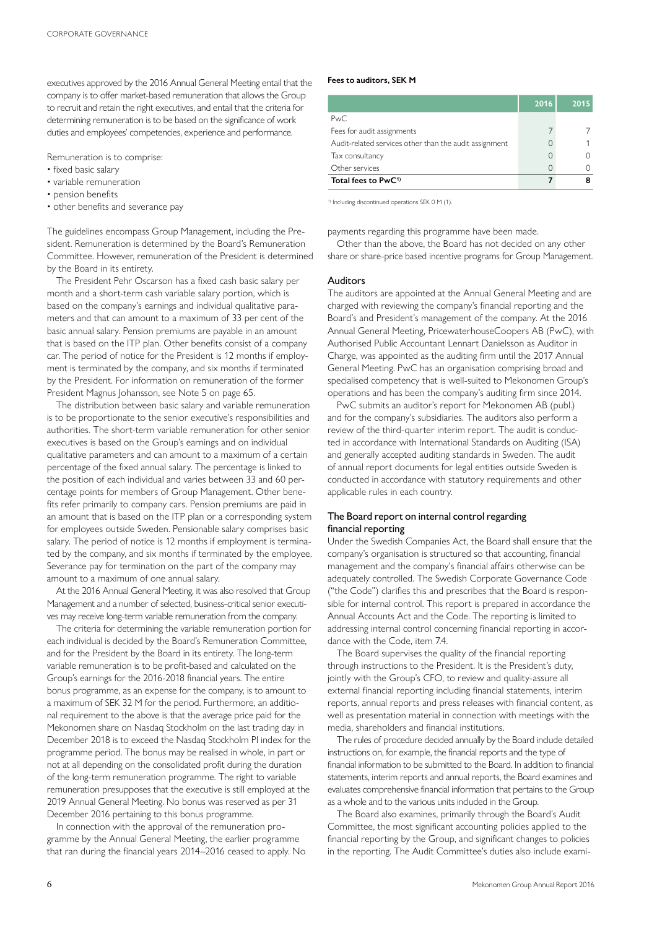executives approved by the 2016 Annual General Meeting entail that the company is to offer market-based remuneration that allows the Group to recruit and retain the right executives, and entail that the criteria for determining remuneration is to be based on the significance of work duties and employees' competencies, experience and performance.

Remuneration is to comprise:

- fixed basic salary
- variable remuneration
- pension benefits
- other benefits and severance pay

The guidelines encompass Group Management, including the President. Remuneration is determined by the Board's Remuneration Committee. However, remuneration of the President is determined by the Board in its entirety.

The President Pehr Oscarson has a fixed cash basic salary per month and a short-term cash variable salary portion, which is based on the company's earnings and individual qualitative parameters and that can amount to a maximum of 33 per cent of the basic annual salary. Pension premiums are payable in an amount that is based on the ITP plan. Other benefits consist of a company car. The period of notice for the President is 12 months if employment is terminated by the company, and six months if terminated by the President. For information on remuneration of the former President Magnus Johansson, see Note 5 on page 65.

The distribution between basic salary and variable remuneration is to be proportionate to the senior executive's responsibilities and authorities. The short-term variable remuneration for other senior executives is based on the Group's earnings and on individual qualitative parameters and can amount to a maximum of a certain percentage of the fixed annual salary. The percentage is linked to the position of each individual and varies between 33 and 60 percentage points for members of Group Management. Other benefits refer primarily to company cars. Pension premiums are paid in an amount that is based on the ITP plan or a corresponding system for employees outside Sweden. Pensionable salary comprises basic salary. The period of notice is 12 months if employment is terminated by the company, and six months if terminated by the employee. Severance pay for termination on the part of the company may amount to a maximum of one annual salary.

At the 2016 Annual General Meeting, it was also resolved that Group Management and a number of selected, business-critical senior executives may receive long-term variable remuneration from the company.

The criteria for determining the variable remuneration portion for each individual is decided by the Board's Remuneration Committee, and for the President by the Board in its entirety. The long-term variable remuneration is to be profit-based and calculated on the Group's earnings for the 2016-2018 financial years. The entire bonus programme, as an expense for the company, is to amount to a maximum of SEK 32 M for the period. Furthermore, an additional requirement to the above is that the average price paid for the Mekonomen share on Nasdaq Stockholm on the last trading day in December 2018 is to exceed the Nasdaq Stockholm PI index for the programme period. The bonus may be realised in whole, in part or not at all depending on the consolidated profit during the duration of the long-term remuneration programme. The right to variable remuneration presupposes that the executive is still employed at the 2019 Annual General Meeting. No bonus was reserved as per 31 December 2016 pertaining to this bonus programme.

In connection with the approval of the remuneration programme by the Annual General Meeting, the earlier programme that ran during the financial years 2014–2016 ceased to apply. No

### **Fees to auditors, SEK M**

|                                                        | 2016 | 2015 |
|--------------------------------------------------------|------|------|
| PwC.                                                   |      |      |
| Fees for audit assignments                             |      |      |
| Audit-related services other than the audit assignment | 0    |      |
| Tax consultancy                                        | 0    |      |
| Other services                                         | 0    |      |
| Total fees to PwC <sup>1)</sup>                        |      |      |

1) Including discontinued operations SEK 0 M (1).

payments regarding this programme have been made.

Other than the above, the Board has not decided on any other share or share-price based incentive programs for Group Management.

### Auditors

The auditors are appointed at the Annual General Meeting and are charged with reviewing the company's financial reporting and the Board's and President's management of the company. At the 2016 Annual General Meeting, PricewaterhouseCoopers AB (PwC), with Authorised Public Accountant Lennart Danielsson as Auditor in Charge, was appointed as the auditing firm until the 2017 Annual General Meeting. PwC has an organisation comprising broad and specialised competency that is well-suited to Mekonomen Group's operations and has been the company's auditing firm since 2014.

PwC submits an auditor's report for Mekonomen AB (publ.) and for the company's subsidiaries. The auditors also perform a review of the third-quarter interim report. The audit is conducted in accordance with International Standards on Auditing (ISA) and generally accepted auditing standards in Sweden. The audit of annual report documents for legal entities outside Sweden is conducted in accordance with statutory requirements and other applicable rules in each country.

### The Board report on internal control regarding financial reporting

Under the Swedish Companies Act, the Board shall ensure that the company's organisation is structured so that accounting, financial management and the company's financial affairs otherwise can be adequately controlled. The Swedish Corporate Governance Code ("the Code") clarifies this and prescribes that the Board is responsible for internal control. This report is prepared in accordance the Annual Accounts Act and the Code. The reporting is limited to addressing internal control concerning financial reporting in accordance with the Code, item 7.4.

The Board supervises the quality of the financial reporting through instructions to the President. It is the President's duty, jointly with the Group's CFO, to review and quality-assure all external financial reporting including financial statements, interim reports, annual reports and press releases with financial content, as well as presentation material in connection with meetings with the media, shareholders and financial institutions.

The rules of procedure decided annually by the Board include detailed instructions on, for example, the financial reports and the type of financial information to be submitted to the Board. In addition to financial statements, interim reports and annual reports, the Board examines and evaluates comprehensive financial information that pertains to the Group as a whole and to the various units included in the Group.

The Board also examines, primarily through the Board's Audit Committee, the most significant accounting policies applied to the financial reporting by the Group, and significant changes to policies in the reporting. The Audit Committee's duties also include exami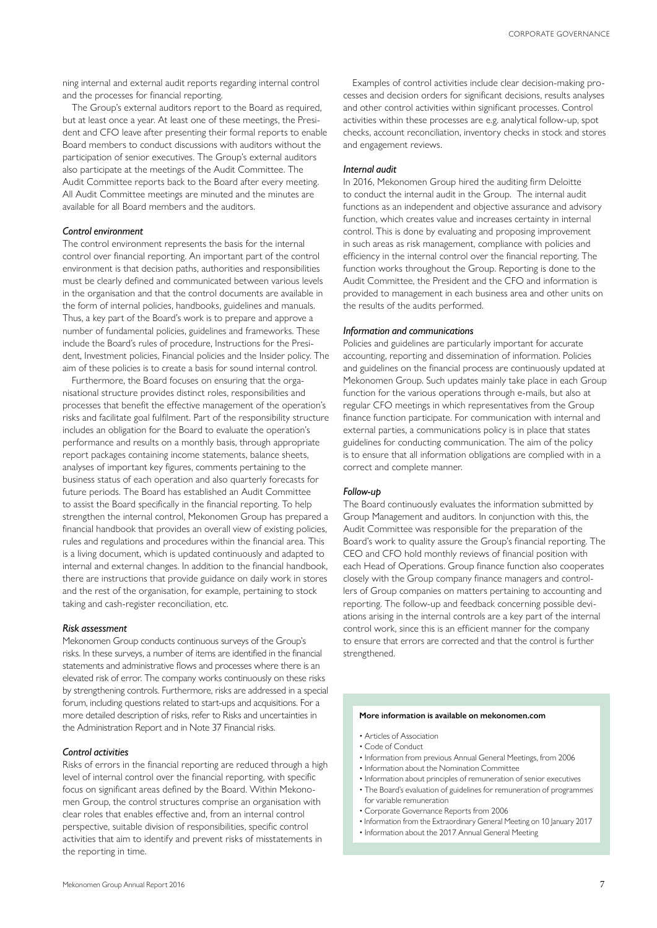ning internal and external audit reports regarding internal control and the processes for financial reporting.

The Group's external auditors report to the Board as required, but at least once a year. At least one of these meetings, the President and CFO leave after presenting their formal reports to enable Board members to conduct discussions with auditors without the participation of senior executives. The Group's external auditors also participate at the meetings of the Audit Committee. The Audit Committee reports back to the Board after every meeting. All Audit Committee meetings are minuted and the minutes are available for all Board members and the auditors.

### *Control environment*

The control environment represents the basis for the internal control over financial reporting. An important part of the control environment is that decision paths, authorities and responsibilities must be clearly defined and communicated between various levels in the organisation and that the control documents are available in the form of internal policies, handbooks, guidelines and manuals. Thus, a key part of the Board's work is to prepare and approve a number of fundamental policies, guidelines and frameworks. These include the Board's rules of procedure, Instructions for the President, Investment policies, Financial policies and the Insider policy. The aim of these policies is to create a basis for sound internal control.

Furthermore, the Board focuses on ensuring that the organisational structure provides distinct roles, responsibilities and processes that benefit the effective management of the operation's risks and facilitate goal fulfilment. Part of the responsibility structure includes an obligation for the Board to evaluate the operation's performance and results on a monthly basis, through appropriate report packages containing income statements, balance sheets, analyses of important key figures, comments pertaining to the business status of each operation and also quarterly forecasts for future periods. The Board has established an Audit Committee to assist the Board specifically in the financial reporting. To help strengthen the internal control, Mekonomen Group has prepared a financial handbook that provides an overall view of existing policies, rules and regulations and procedures within the financial area. This is a living document, which is updated continuously and adapted to internal and external changes. In addition to the financial handbook, there are instructions that provide guidance on daily work in stores and the rest of the organisation, for example, pertaining to stock taking and cash-register reconciliation, etc.

### *Risk assessment*

Mekonomen Group conducts continuous surveys of the Group's risks. In these surveys, a number of items are identified in the financial statements and administrative flows and processes where there is an elevated risk of error. The company works continuously on these risks by strengthening controls. Furthermore, risks are addressed in a special forum, including questions related to start-ups and acquisitions. For a more detailed description of risks, refer to Risks and uncertainties in the Administration Report and in Note 37 Financial risks.

### *Control activities*

Risks of errors in the financial reporting are reduced through a high level of internal control over the financial reporting, with specific focus on significant areas defined by the Board. Within Mekonomen Group, the control structures comprise an organisation with clear roles that enables effective and, from an internal control perspective, suitable division of responsibilities, specific control activities that aim to identify and prevent risks of misstatements in the reporting in time.

Examples of control activities include clear decision-making processes and decision orders for significant decisions, results analyses and other control activities within significant processes. Control activities within these processes are e.g. analytical follow-up, spot checks, account reconciliation, inventory checks in stock and stores and engagement reviews.

### *Internal audit*

In 2016, Mekonomen Group hired the auditing firm Deloitte to conduct the internal audit in the Group. The internal audit functions as an independent and objective assurance and advisory function, which creates value and increases certainty in internal control. This is done by evaluating and proposing improvement in such areas as risk management, compliance with policies and efficiency in the internal control over the financial reporting. The function works throughout the Group. Reporting is done to the Audit Committee, the President and the CFO and information is provided to management in each business area and other units on the results of the audits performed.

### *Information and communications*

Policies and guidelines are particularly important for accurate accounting, reporting and dissemination of information. Policies and guidelines on the financial process are continuously updated at Mekonomen Group. Such updates mainly take place in each Group function for the various operations through e-mails, but also at regular CFO meetings in which representatives from the Group finance function participate. For communication with internal and external parties, a communications policy is in place that states guidelines for conducting communication. The aim of the policy is to ensure that all information obligations are complied with in a correct and complete manner.

### *Follow-up*

The Board continuously evaluates the information submitted by Group Management and auditors. In conjunction with this, the Audit Committee was responsible for the preparation of the Board's work to quality assure the Group's financial reporting. The CEO and CFO hold monthly reviews of financial position with each Head of Operations. Group finance function also cooperates closely with the Group company finance managers and controllers of Group companies on matters pertaining to accounting and reporting. The follow-up and feedback concerning possible deviations arising in the internal controls are a key part of the internal control work, since this is an efficient manner for the company to ensure that errors are corrected and that the control is further strengthened.

### **More information is available on mekonomen.com**

- Articles of Association
- Code of Conduct
- Information from previous Annual General Meetings, from 2006
- Information about the Nomination Committee
- Information about principles of remuneration of senior executives
- The Board's evaluation of guidelines for remuneration of programmes for variable remuneration
- Corporate Governance Reports from 2006
- Information from the Extraordinary General Meeting on 10 January 2017
- Information about the 2017 Annual General Meeting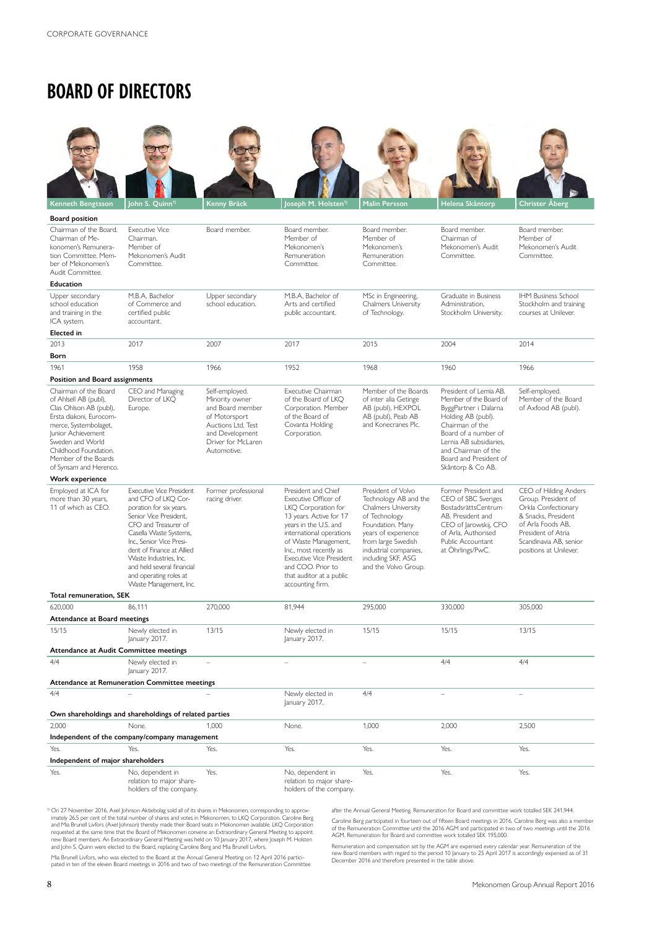# **BOARD OF DIRECTORS**

| <b>Kenneth Bengtsson</b>                                                                                                                                                                                                                          | lohn S. Quinn <sup>1)</sup>                                                                                                                                                                                                                                                                                                        | Kenny Bräck                                                                                                                                         | oseph M. Holsten <sup>1)</sup>                                                                                                                                                                                                                                                                               | <b>Malin Persson</b>                                                                                                                                                                                                        | Helena Skåntorp                                                                                                                                                                                                                              | Christer Åberg                                                                                                                                                                            |
|---------------------------------------------------------------------------------------------------------------------------------------------------------------------------------------------------------------------------------------------------|------------------------------------------------------------------------------------------------------------------------------------------------------------------------------------------------------------------------------------------------------------------------------------------------------------------------------------|-----------------------------------------------------------------------------------------------------------------------------------------------------|--------------------------------------------------------------------------------------------------------------------------------------------------------------------------------------------------------------------------------------------------------------------------------------------------------------|-----------------------------------------------------------------------------------------------------------------------------------------------------------------------------------------------------------------------------|----------------------------------------------------------------------------------------------------------------------------------------------------------------------------------------------------------------------------------------------|-------------------------------------------------------------------------------------------------------------------------------------------------------------------------------------------|
| Board position                                                                                                                                                                                                                                    |                                                                                                                                                                                                                                                                                                                                    |                                                                                                                                                     |                                                                                                                                                                                                                                                                                                              |                                                                                                                                                                                                                             |                                                                                                                                                                                                                                              |                                                                                                                                                                                           |
| Chairman of the Board.<br>Chairman of Me-<br>konomen's Remunera-<br>tion Committee. Mem-<br>ber of Mekonomen's<br>Audit Committee.                                                                                                                | <b>Executive Vice</b><br>Chairman.<br>Member of<br>Mekonomen's Audit<br>Committee.                                                                                                                                                                                                                                                 | Board member.                                                                                                                                       | Board member.<br>Member of<br>Mekonomen's<br>Remuneration<br>Committee.                                                                                                                                                                                                                                      | Board member.<br>Member of<br>Mekonomen's<br>Remuneration<br>Committee.                                                                                                                                                     | Board member.<br>Chairman of<br>Mekonomen's Audit<br>Committee.                                                                                                                                                                              | Board member.<br>Member of<br>Mekonomen's Audit<br>Committee.                                                                                                                             |
| <b>Education</b>                                                                                                                                                                                                                                  |                                                                                                                                                                                                                                                                                                                                    |                                                                                                                                                     |                                                                                                                                                                                                                                                                                                              |                                                                                                                                                                                                                             |                                                                                                                                                                                                                                              |                                                                                                                                                                                           |
| Upper secondary<br>school education<br>and training in the<br>ICA system.                                                                                                                                                                         | M.B.A, Bachelor<br>of Commerce and<br>certified public<br>accountant.                                                                                                                                                                                                                                                              | Upper secondary<br>school education.                                                                                                                | M.B.A, Bachelor of<br>Arts and certified<br>public accountant.                                                                                                                                                                                                                                               | MSc in Engineering,<br><b>Chalmers University</b><br>of Technology.                                                                                                                                                         | Graduate in Business<br>Administration,<br>Stockholm University.                                                                                                                                                                             | <b>IHM Business School</b><br>Stockholm and training<br>courses at Unilever.                                                                                                              |
| <b>Elected</b> in                                                                                                                                                                                                                                 |                                                                                                                                                                                                                                                                                                                                    |                                                                                                                                                     |                                                                                                                                                                                                                                                                                                              |                                                                                                                                                                                                                             |                                                                                                                                                                                                                                              |                                                                                                                                                                                           |
| 2013                                                                                                                                                                                                                                              | 2017                                                                                                                                                                                                                                                                                                                               | 2007                                                                                                                                                | 2017                                                                                                                                                                                                                                                                                                         | 2015                                                                                                                                                                                                                        | 2004                                                                                                                                                                                                                                         | 2014                                                                                                                                                                                      |
| Born                                                                                                                                                                                                                                              |                                                                                                                                                                                                                                                                                                                                    |                                                                                                                                                     |                                                                                                                                                                                                                                                                                                              |                                                                                                                                                                                                                             |                                                                                                                                                                                                                                              |                                                                                                                                                                                           |
| 1961<br>Position and Board assignments                                                                                                                                                                                                            | 1958                                                                                                                                                                                                                                                                                                                               | 1966                                                                                                                                                | 1952                                                                                                                                                                                                                                                                                                         | 1968                                                                                                                                                                                                                        | 1960                                                                                                                                                                                                                                         | 1966                                                                                                                                                                                      |
| Chairman of the Board<br>of Ahlsell AB (publ),<br>Clas Ohlson AB (publ),<br>Ersta diakoni, Eurocom-<br>merce, Systembolaget,<br>lunior Achievement<br>Sweden and World<br>Childhood Foundation.<br>Member of the Boards<br>of Synsam and Herenco. | CEO and Managing<br>Director of LKQ<br>Europe.                                                                                                                                                                                                                                                                                     | Self-employed.<br>Minority owner<br>and Board member<br>of Motorsport<br>Auctions Ltd. Test<br>and Development<br>Driver for McLaren<br>Automotive. | Executive Chairman<br>of the Board of LKO<br>Corporation. Member<br>of the Board of<br>Covanta Holding<br>Corporation.                                                                                                                                                                                       | Member of the Boards<br>of inter alia Getinge<br>AB (publ), HEXPOL<br>AB (publ), Peab AB<br>and Konecranes Plc.                                                                                                             | President of Lernia AB.<br>Member of the Board of<br>ByggPartner i Dalarna<br>Holding AB (publ).<br>Chairman of the<br>Board of a number of<br>Lernia AB subsidiaries,<br>and Chairman of the<br>Board and President of<br>Skåntorp & Co AB. | Self-employed.<br>Member of the Board<br>of Axfood AB (publ).                                                                                                                             |
| Work experience                                                                                                                                                                                                                                   |                                                                                                                                                                                                                                                                                                                                    |                                                                                                                                                     |                                                                                                                                                                                                                                                                                                              |                                                                                                                                                                                                                             |                                                                                                                                                                                                                                              |                                                                                                                                                                                           |
| Employed at ICA for<br>more than 30 years,<br>11 of which as CEO.                                                                                                                                                                                 | <b>Executive Vice President</b><br>and CFO of LKO Cor-<br>poration for six years.<br>Senior Vice President.<br>CFO and Treasurer of<br>Casella Waste Systems,<br>Inc., Senior Vice Presi-<br>dent of Finance at Allied<br>Waste Industries, Inc.<br>and held several financial<br>and operating roles at<br>Waste Management, Inc. | Former professional<br>racing driver.                                                                                                               | President and Chief<br>Executive Officer of<br>LKQ Corporation for<br>13 years. Active for 17<br>years in the U.S. and<br>international operations<br>of Waste Management,<br>Inc., most recently as<br><b>Executive Vice President</b><br>and COO. Prior to<br>that auditor at a public<br>accounting firm. | President of Volvo<br>Technology AB and the<br>Chalmers University<br>of Technology<br>Foundation. Many<br>years of experience<br>from large Swedish<br>industrial companies,<br>including SKF, ASG<br>and the Volvo Group. | Former President and<br>CEO of SBC Sveriges<br>BostadsrättsCentrum<br>AB. President and<br>CEO of Jarowskij, CFO<br>of Arla, Authorised<br>Public Accountant<br>at Öhrlings/PwC.                                                             | CEO of Hilding Anders<br>Group. President of<br>Orkla Confectionary<br>& Snacks, President<br>of Arla Foods AB.<br>President of Atria<br>Scandinavia AB, senior<br>positions at Unilever. |
| Total remuneration, SEK                                                                                                                                                                                                                           |                                                                                                                                                                                                                                                                                                                                    |                                                                                                                                                     |                                                                                                                                                                                                                                                                                                              |                                                                                                                                                                                                                             |                                                                                                                                                                                                                                              |                                                                                                                                                                                           |
| 620,000                                                                                                                                                                                                                                           | 86,111                                                                                                                                                                                                                                                                                                                             | 270,000                                                                                                                                             | 81,944                                                                                                                                                                                                                                                                                                       | 295,000                                                                                                                                                                                                                     | 330,000                                                                                                                                                                                                                                      | 305,000                                                                                                                                                                                   |
| Attendance at Board meetings<br>15/15                                                                                                                                                                                                             | Newly elected in<br>January 2017.                                                                                                                                                                                                                                                                                                  | 13/15                                                                                                                                               | Newly elected in<br>January 2017.                                                                                                                                                                                                                                                                            | 15/15                                                                                                                                                                                                                       | 15/15                                                                                                                                                                                                                                        | 13/15                                                                                                                                                                                     |
| Attendance at Audit Committee meetings                                                                                                                                                                                                            |                                                                                                                                                                                                                                                                                                                                    |                                                                                                                                                     |                                                                                                                                                                                                                                                                                                              |                                                                                                                                                                                                                             |                                                                                                                                                                                                                                              |                                                                                                                                                                                           |
| 4/4                                                                                                                                                                                                                                               | Newly elected in<br>January 2017.<br>Attendance at Remuneration Committee meetings                                                                                                                                                                                                                                                 |                                                                                                                                                     | L.                                                                                                                                                                                                                                                                                                           | $\equiv$                                                                                                                                                                                                                    | 4/4                                                                                                                                                                                                                                          | 4/4                                                                                                                                                                                       |
| 4/4                                                                                                                                                                                                                                               | Own shareholdings and shareholdings of related parties                                                                                                                                                                                                                                                                             |                                                                                                                                                     | Newly elected in<br>January 2017.                                                                                                                                                                                                                                                                            | 4/4                                                                                                                                                                                                                         | $\equiv$                                                                                                                                                                                                                                     | $\overline{\phantom{0}}$                                                                                                                                                                  |
| 2,000                                                                                                                                                                                                                                             | None.                                                                                                                                                                                                                                                                                                                              | 1,000                                                                                                                                               | None.                                                                                                                                                                                                                                                                                                        | 1,000                                                                                                                                                                                                                       | 2,000                                                                                                                                                                                                                                        | 2,500                                                                                                                                                                                     |
|                                                                                                                                                                                                                                                   |                                                                                                                                                                                                                                                                                                                                    |                                                                                                                                                     |                                                                                                                                                                                                                                                                                                              |                                                                                                                                                                                                                             |                                                                                                                                                                                                                                              |                                                                                                                                                                                           |
| Independent of the company/company management<br>Yes.<br>Yes.<br>Yes.<br>Yes.<br>Yes.<br>Yes.<br>Yes.                                                                                                                                             |                                                                                                                                                                                                                                                                                                                                    |                                                                                                                                                     |                                                                                                                                                                                                                                                                                                              |                                                                                                                                                                                                                             |                                                                                                                                                                                                                                              |                                                                                                                                                                                           |
| Independent of major shareholders                                                                                                                                                                                                                 |                                                                                                                                                                                                                                                                                                                                    |                                                                                                                                                     |                                                                                                                                                                                                                                                                                                              |                                                                                                                                                                                                                             |                                                                                                                                                                                                                                              |                                                                                                                                                                                           |
| Yes.                                                                                                                                                                                                                                              | No, dependent in<br>relation to major share-<br>holders of the company.                                                                                                                                                                                                                                                            | Yes.                                                                                                                                                | No, dependent in<br>relation to major share-<br>holders of the company.                                                                                                                                                                                                                                      | Yes.                                                                                                                                                                                                                        | Yes.                                                                                                                                                                                                                                         | Yes.                                                                                                                                                                                      |

<sup>9</sup> On 27 November 2016, Axel Johnson Aktiebolag sold all of its shares in Mekonomen, corresponding to approximately 26.5 per cent of the total number of shares and votas in Mekonomen, to LKQ Corporation. Caroline Berg and

after the Annual General Meeting. Remuneration for Board and committee work totalled SEK 241,944. Caroline Berg participated in fourteen out of fifteen Board meetings in 2016. Caroline Berg was also a member<br>of the Remuneration Committee until the 2016 AGM and participated in two of two meetings until the 2016<br>AGM. Rem

Mia Brunell Livfors, who was elected to the Board at the Annual General Meeting on 12 April 2016 partici-pated in ten of the eleven Board meetings in 2016 and two of two meetings of the Remuneration Committee

Remuneration and compensation set by the AGM are expensed every calendar year. Remuneration of the<br>new Board members with regard to the period 10 January to 25 April 2017 is accordingly expensed as of 31<br>December 2016 and